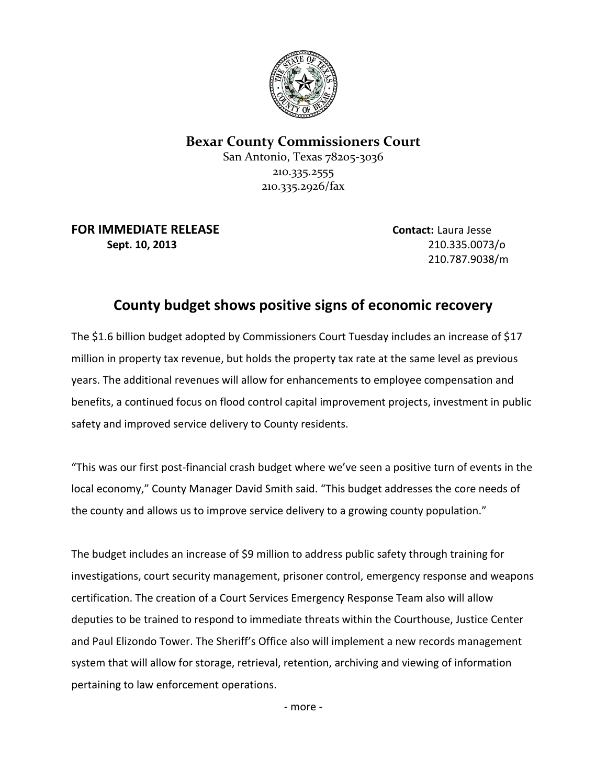

## **Bexar County Commissioners Court**

San Antonio, Texas 78205-3036 210.335.2555 210.335.2926/fax

**FOR IMMEDIATE RELEASE Contact:** Laura Jesse **Sept. 10, 2013** 210.335.0073/o

210.787.9038/m

## **County budget shows positive signs of economic recovery**

The \$1.6 billion budget adopted by Commissioners Court Tuesday includes an increase of \$17 million in property tax revenue, but holds the property tax rate at the same level as previous years. The additional revenues will allow for enhancements to employee compensation and benefits, a continued focus on flood control capital improvement projects, investment in public safety and improved service delivery to County residents.

"This was our first post-financial crash budget where we've seen a positive turn of events in the local economy," County Manager David Smith said. "This budget addresses the core needs of the county and allows us to improve service delivery to a growing county population."

The budget includes an increase of \$9 million to address public safety through training for investigations, court security management, prisoner control, emergency response and weapons certification. The creation of a Court Services Emergency Response Team also will allow deputies to be trained to respond to immediate threats within the Courthouse, Justice Center and Paul Elizondo Tower. The Sheriff's Office also will implement a new records management system that will allow for storage, retrieval, retention, archiving and viewing of information pertaining to law enforcement operations.